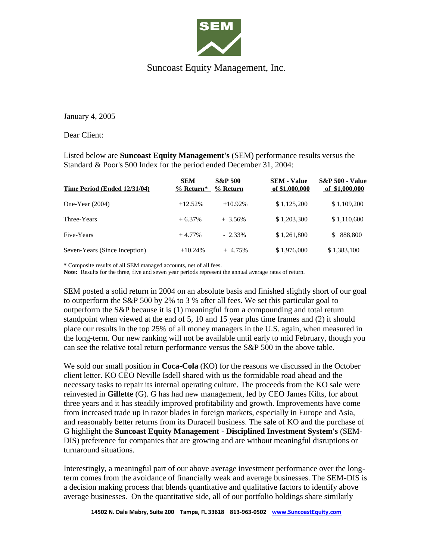

## Suncoast Equity Management, Inc.

January 4, 2005

Dear Client:

Listed below are **Suncoast Equity Management's** (SEM) performance results versus the Standard & Poor's 500 Index for the period ended December 31, 2004:

| Time Period (Ended 12/31/04)  | <b>SEM</b><br>$%$ Return* | <b>S&amp;P 500</b><br>% Return | <b>SEM - Value</b><br>of \$1,000,000 | <b>S&amp;P 500 - Value</b><br>of \$1,000,000 |
|-------------------------------|---------------------------|--------------------------------|--------------------------------------|----------------------------------------------|
| One-Year $(2004)$             | $+12.52%$                 | $+10.92\%$                     | \$1,125,200                          | \$1,109,200                                  |
| Three-Years                   | $+6.37%$                  | $+3.56\%$                      | \$1,203,300                          | \$1,110,600                                  |
| Five-Years                    | $+4.77\%$                 | $-2.33\%$                      | \$1,261,800                          | 888,800<br><sup>\$</sup>                     |
| Seven-Years (Since Inception) | $+10.24%$                 | $+4.75%$                       | \$1,976,000                          | \$1,383,100                                  |

**\*** Composite results of all SEM managed accounts, net of all fees.

**Note:** Results for the three, five and seven year periods represent the annual average rates of return.

SEM posted a solid return in 2004 on an absolute basis and finished slightly short of our goal to outperform the S&P 500 by 2% to 3 % after all fees. We set this particular goal to outperform the S&P because it is (1) meaningful from a compounding and total return standpoint when viewed at the end of 5, 10 and 15 year plus time frames and (2) it should place our results in the top 25% of all money managers in the U.S. again, when measured in the long-term. Our new ranking will not be available until early to mid February, though you can see the relative total return performance versus the S&P 500 in the above table.

We sold our small position in **Coca-Cola** (KO) for the reasons we discussed in the October client letter. KO CEO Neville Isdell shared with us the formidable road ahead and the necessary tasks to repair its internal operating culture. The proceeds from the KO sale were reinvested in **Gillette** (G). G has had new management, led by CEO James Kilts, for about three years and it has steadily improved profitability and growth. Improvements have come from increased trade up in razor blades in foreign markets, especially in Europe and Asia, and reasonably better returns from its Duracell business. The sale of KO and the purchase of G highlight the **Suncoast Equity Management - Disciplined Investment System's** (SEM-DIS) preference for companies that are growing and are without meaningful disruptions or turnaround situations.

Interestingly, a meaningful part of our above average investment performance over the longterm comes from the avoidance of financially weak and average businesses. The SEM-DIS is a decision making process that blends quantitative and qualitative factors to identify above average businesses. On the quantitative side, all of our portfolio holdings share similarly